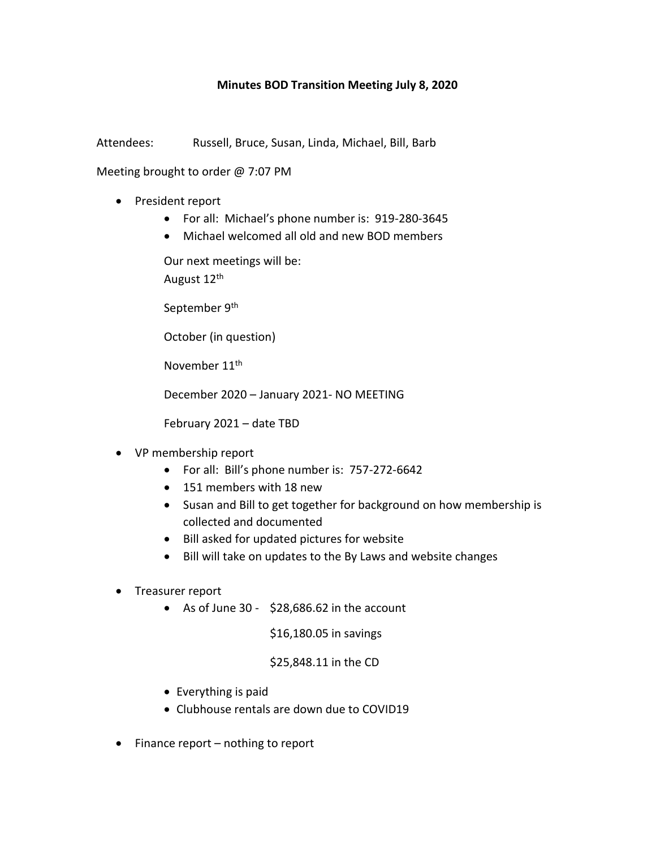## **Minutes BOD Transition Meeting July 8, 2020**

Attendees: Russell, Bruce, Susan, Linda, Michael, Bill, Barb

Meeting brought to order @ 7:07 PM

- President report
	- For all: Michael's phone number is: 919-280-3645
	- Michael welcomed all old and new BOD members

Our next meetings will be: August 12th

September 9<sup>th</sup>

October (in question)

November 11th

December 2020 – January 2021- NO MEETING

February 2021 – date TBD

- VP membership report
	- For all: Bill's phone number is: 757-272-6642
	- 151 members with 18 new
	- Susan and Bill to get together for background on how membership is collected and documented
	- Bill asked for updated pictures for website
	- Bill will take on updates to the By Laws and website changes
- Treasurer report
	- As of June 30  $$28,686.62$  in the account

\$16,180.05 in savings

## \$25,848.11 in the CD

- Everything is paid
- Clubhouse rentals are down due to COVID19
- $\bullet$  Finance report nothing to report